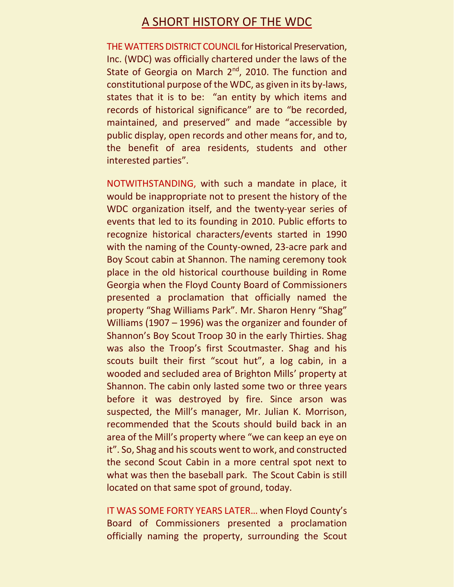## A SHORT HISTORY OF THE WDC

THE WATTERS DISTRICT COUNCIL for Historical Preservation, Inc. (WDC) was officially chartered under the laws of the State of Georgia on March  $2<sup>nd</sup>$ , 2010. The function and constitutional purpose of the WDC, as given in its by-laws, states that it is to be: "an entity by which items and records of historical significance" are to "be recorded, maintained, and preserved" and made "accessible by public display, open records and other means for, and to, the benefit of area residents, students and other interested parties".

NOTWITHSTANDING, with such a mandate in place, it would be inappropriate not to present the history of the WDC organization itself, and the twenty-year series of events that led to its founding in 2010. Public efforts to recognize historical characters/events started in 1990 with the naming of the County-owned, 23-acre park and Boy Scout cabin at Shannon. The naming ceremony took place in the old historical courthouse building in Rome Georgia when the Floyd County Board of Commissioners presented a proclamation that officially named the property "Shag Williams Park". Mr. Sharon Henry "Shag" Williams (1907 – 1996) was the organizer and founder of Shannon's Boy Scout Troop 30 in the early Thirties. Shag was also the Troop's first Scoutmaster. Shag and his scouts built their first "scout hut", a log cabin, in a wooded and secluded area of Brighton Mills' property at Shannon. The cabin only lasted some two or three years before it was destroyed by fire. Since arson was suspected, the Mill's manager, Mr. Julian K. Morrison, recommended that the Scouts should build back in an area of the Mill's property where "we can keep an eye on it". So, Shag and his scouts went to work, and constructed the second Scout Cabin in a more central spot next to what was then the baseball park. The Scout Cabin is still located on that same spot of ground, today.

IT WAS SOME FORTY YEARS LATER… when Floyd County's Board of Commissioners presented a proclamation officially naming the property, surrounding the Scout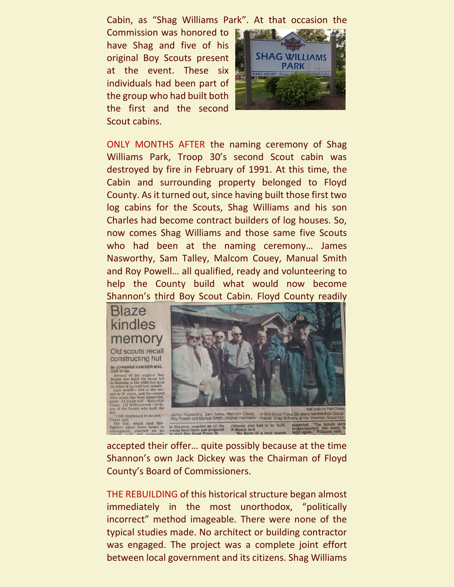Cabin, as "Shag Williams Park". At that occasion the

Commission was honored to have Shag and five of his original Boy Scouts present at the event. These six individuals had been part of the group who had built both the first and the second Scout cabins.



ONLY MONTHS AFTER the naming ceremony of Shag Williams Park, Troop 30's second Scout cabin was destroyed by fire in February of 1991. At this time, the Cabin and surrounding property belonged to Floyd County. As it turned out, since having built those first two log cabins for the Scouts, Shag Williams and his son Charles had become contract builders of log houses. So, now comes Shag Williams and those same five Scouts who had been at the naming ceremony… James Nasworthy, Sam Talley, Malcom Couey, Manual Smith and Roy Powell… all qualified, ready and volunteering to help the County build what would now become Shannon's third Boy Scout Cabin. Floyd County readily



accepted their offer… quite possibly because at the time Shannon's own Jack Dickey was the Chairman of Floyd County's Board of Commissioners.

THE REBUILDING of this historical structure began almost immediately in the most unorthodox, "politically incorrect" method imageable. There were none of the typical studies made. No architect or building contractor was engaged. The project was a complete joint effort between local government and its citizens. Shag Williams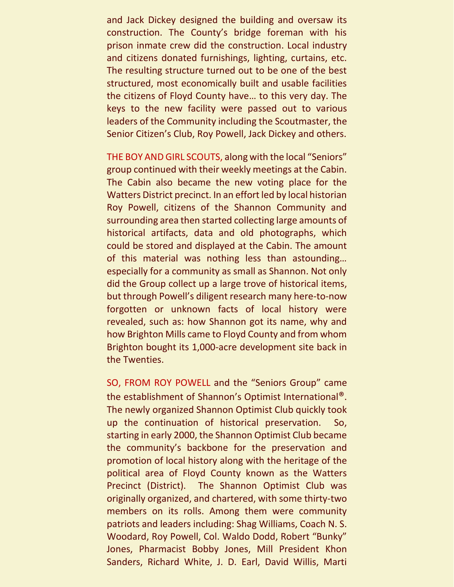and Jack Dickey designed the building and oversaw its construction. The County's bridge foreman with his prison inmate crew did the construction. Local industry and citizens donated furnishings, lighting, curtains, etc. The resulting structure turned out to be one of the best structured, most economically built and usable facilities the citizens of Floyd County have… to this very day. The keys to the new facility were passed out to various leaders of the Community including the Scoutmaster, the Senior Citizen's Club, Roy Powell, Jack Dickey and others.

THE BOY AND GIRL SCOUTS, along with the local "Seniors" group continued with their weekly meetings at the Cabin. The Cabin also became the new voting place for the Watters District precinct. In an effort led by local historian Roy Powell, citizens of the Shannon Community and surrounding area then started collecting large amounts of historical artifacts, data and old photographs, which could be stored and displayed at the Cabin. The amount of this material was nothing less than astounding… especially for a community as small as Shannon. Not only did the Group collect up a large trove of historical items, but through Powell's diligent research many here-to-now forgotten or unknown facts of local history were revealed, such as: how Shannon got its name, why and how Brighton Mills came to Floyd County and from whom Brighton bought its 1,000-acre development site back in the Twenties.

SO, FROM ROY POWELL and the "Seniors Group" came the establishment of Shannon's Optimist International®. The newly organized Shannon Optimist Club quickly took up the continuation of historical preservation. So, starting in early 2000, the Shannon Optimist Club became the community's backbone for the preservation and promotion of local history along with the heritage of the political area of Floyd County known as the Watters Precinct (District). The Shannon Optimist Club was originally organized, and chartered, with some thirty-two members on its rolls. Among them were community patriots and leaders including: Shag Williams, Coach N. S. Woodard, Roy Powell, Col. Waldo Dodd, Robert "Bunky" Jones, Pharmacist Bobby Jones, Mill President Khon Sanders, Richard White, J. D. Earl, David Willis, Marti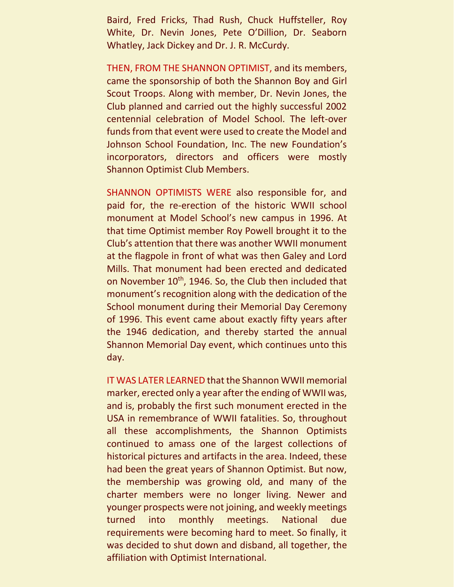Baird, Fred Fricks, Thad Rush, Chuck Huffsteller, Roy White, Dr. Nevin Jones, Pete O'Dillion, Dr. Seaborn Whatley, Jack Dickey and Dr. J. R. McCurdy.

THEN, FROM THE SHANNON OPTIMIST, and its members, came the sponsorship of both the Shannon Boy and Girl Scout Troops. Along with member, Dr. Nevin Jones, the Club planned and carried out the highly successful 2002 centennial celebration of Model School. The left-over funds from that event were used to create the Model and Johnson School Foundation, Inc. The new Foundation's incorporators, directors and officers were mostly Shannon Optimist Club Members.

SHANNON OPTIMISTS WERE also responsible for, and paid for, the re-erection of the historic WWII school monument at Model School's new campus in 1996. At that time Optimist member Roy Powell brought it to the Club's attention that there was another WWII monument at the flagpole in front of what was then Galey and Lord Mills. That monument had been erected and dedicated on November 10<sup>th</sup>, 1946. So, the Club then included that monument's recognition along with the dedication of the School monument during their Memorial Day Ceremony of 1996. This event came about exactly fifty years after the 1946 dedication, and thereby started the annual Shannon Memorial Day event, which continues unto this day.

IT WAS LATER LEARNED that the Shannon WWII memorial marker, erected only a year after the ending of WWII was, and is, probably the first such monument erected in the USA in remembrance of WWII fatalities. So, throughout all these accomplishments, the Shannon Optimists continued to amass one of the largest collections of historical pictures and artifacts in the area. Indeed, these had been the great years of Shannon Optimist. But now, the membership was growing old, and many of the charter members were no longer living. Newer and younger prospects were not joining, and weekly meetings turned into monthly meetings. National due requirements were becoming hard to meet. So finally, it was decided to shut down and disband, all together, the affiliation with Optimist International.